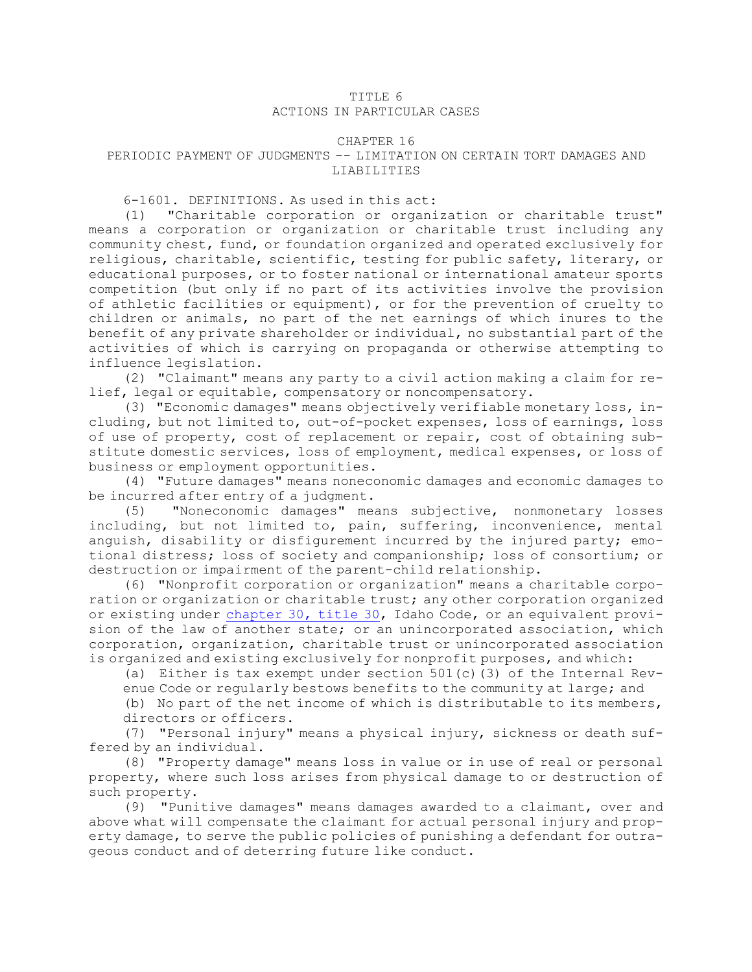## TITLE 6

## ACTIONS IN PARTICULAR CASES

## CHAPTER 16

## PERIODIC PAYMENT OF JUDGMENTS -- LIMITATION ON CERTAIN TORT DAMAGES AND LIABILITIES

6-1601. DEFINITIONS. As used in this act:

(1) "Charitable corporation or organization or charitable trust" means <sup>a</sup> corporation or organization or charitable trust including any community chest, fund, or foundation organized and operated exclusively for religious, charitable, scientific, testing for public safety, literary, or educational purposes, or to foster national or international amateur sports competition (but only if no part of its activities involve the provision of athletic facilities or equipment), or for the prevention of cruelty to children or animals, no part of the net earnings of which inures to the benefit of any private shareholder or individual, no substantial part of the activities of which is carrying on propaganda or otherwise attempting to influence legislation.

(2) "Claimant" means any party to <sup>a</sup> civil action making <sup>a</sup> claim for relief, legal or equitable, compensatory or noncompensatory.

(3) "Economic damages" means objectively verifiable monetary loss, including, but not limited to, out-of-pocket expenses, loss of earnings, loss of use of property, cost of replacement or repair, cost of obtaining substitute domestic services, loss of employment, medical expenses, or loss of business or employment opportunities.

(4) "Future damages" means noneconomic damages and economic damages to be incurred after entry of <sup>a</sup> judgment.

(5) "Noneconomic damages" means subjective, nonmonetary losses including, but not limited to, pain, suffering, inconvenience, mental anguish, disability or disfigurement incurred by the injured party; emotional distress; loss of society and companionship; loss of consortium; or destruction or impairment of the parent-child relationship.

(6) "Nonprofit corporation or organization" means <sup>a</sup> charitable corporation or organization or charitable trust; any other corporation organized or existing under [chapter](https://legislature.idaho.gov/statutesrules/idstat/Title30/T30CH30) 30, title 30, Idaho Code, or an equivalent provision of the law of another state; or an unincorporated association, which corporation, organization, charitable trust or unincorporated association is organized and existing exclusively for nonprofit purposes, and which:

(a) Either is tax exempt under section  $501(c)$  (3) of the Internal Revenue Code or regularly bestows benefits to the community at large; and

(b) No part of the net income of which is distributable to its members, directors or officers.

(7) "Personal injury" means <sup>a</sup> physical injury, sickness or death suffered by an individual.

(8) "Property damage" means loss in value or in use of real or personal property, where such loss arises from physical damage to or destruction of such property.

(9) "Punitive damages" means damages awarded to <sup>a</sup> claimant, over and above what will compensate the claimant for actual personal injury and property damage, to serve the public policies of punishing <sup>a</sup> defendant for outrageous conduct and of deterring future like conduct.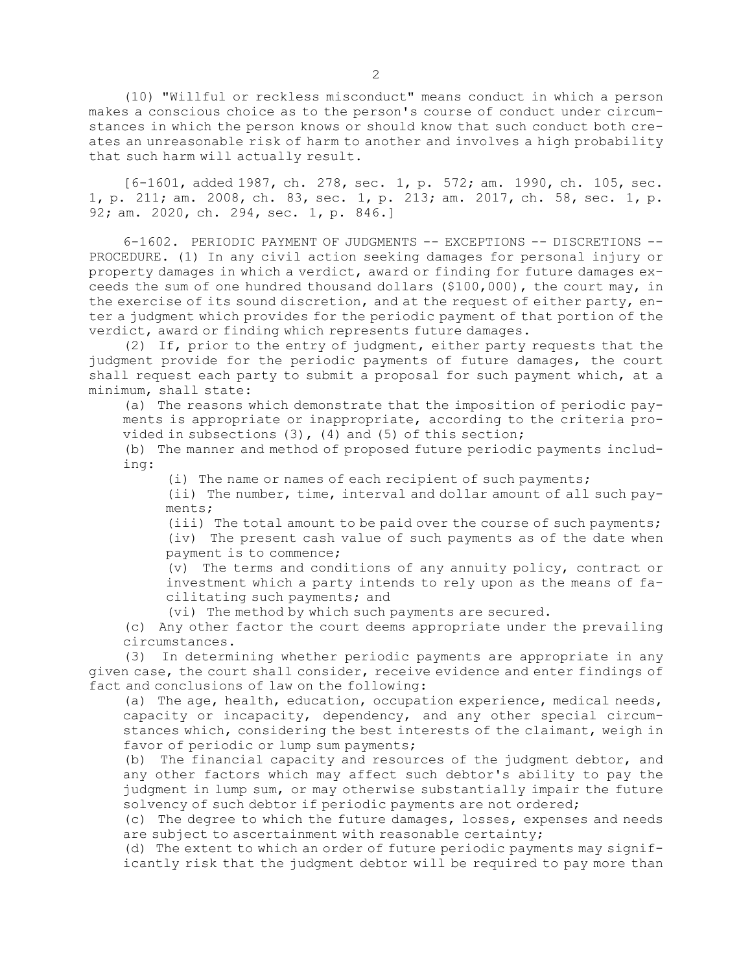(10) "Willful or reckless misconduct" means conduct in which <sup>a</sup> person makes <sup>a</sup> conscious choice as to the person's course of conduct under circumstances in which the person knows or should know that such conduct both creates an unreasonable risk of harm to another and involves <sup>a</sup> high probability that such harm will actually result.

[6-1601, added 1987, ch. 278, sec. 1, p. 572; am. 1990, ch. 105, sec. 1, p. 211; am. 2008, ch. 83, sec. 1, p. 213; am. 2017, ch. 58, sec. 1, p. 92; am. 2020, ch. 294, sec. 1, p. 846.]

6-1602. PERIODIC PAYMENT OF JUDGMENTS -- EXCEPTIONS -- DISCRETIONS -- PROCEDURE. (1) In any civil action seeking damages for personal injury or property damages in which <sup>a</sup> verdict, award or finding for future damages exceeds the sum of one hundred thousand dollars (\$100,000), the court may, in the exercise of its sound discretion, and at the request of either party, enter <sup>a</sup> judgment which provides for the periodic payment of that portion of the verdict, award or finding which represents future damages.

(2) If, prior to the entry of judgment, either party requests that the judgment provide for the periodic payments of future damages, the court shall request each party to submit <sup>a</sup> proposal for such payment which, at <sup>a</sup> minimum, shall state:

(a) The reasons which demonstrate that the imposition of periodic payments is appropriate or inappropriate, according to the criteria provided in subsections (3), (4) and (5) of this section;

(b) The manner and method of proposed future periodic payments including:

(i) The name or names of each recipient of such payments;

(ii) The number, time, interval and dollar amount of all such payments;

(iii) The total amount to be paid over the course of such payments; (iv) The present cash value of such payments as of the date when payment is to commence;

(v) The terms and conditions of any annuity policy, contract or investment which <sup>a</sup> party intends to rely upon as the means of facilitating such payments; and

(vi) The method by which such payments are secured.

(c) Any other factor the court deems appropriate under the prevailing circumstances.

(3) In determining whether periodic payments are appropriate in any given case, the court shall consider, receive evidence and enter findings of fact and conclusions of law on the following:

(a) The age, health, education, occupation experience, medical needs, capacity or incapacity, dependency, and any other special circumstances which, considering the best interests of the claimant, weigh in favor of periodic or lump sum payments;

(b) The financial capacity and resources of the judgment debtor, and any other factors which may affect such debtor's ability to pay the judgment in lump sum, or may otherwise substantially impair the future solvency of such debtor if periodic payments are not ordered;

(c) The degree to which the future damages, losses, expenses and needs are subject to ascertainment with reasonable certainty;

(d) The extent to which an order of future periodic payments may significantly risk that the judgment debtor will be required to pay more than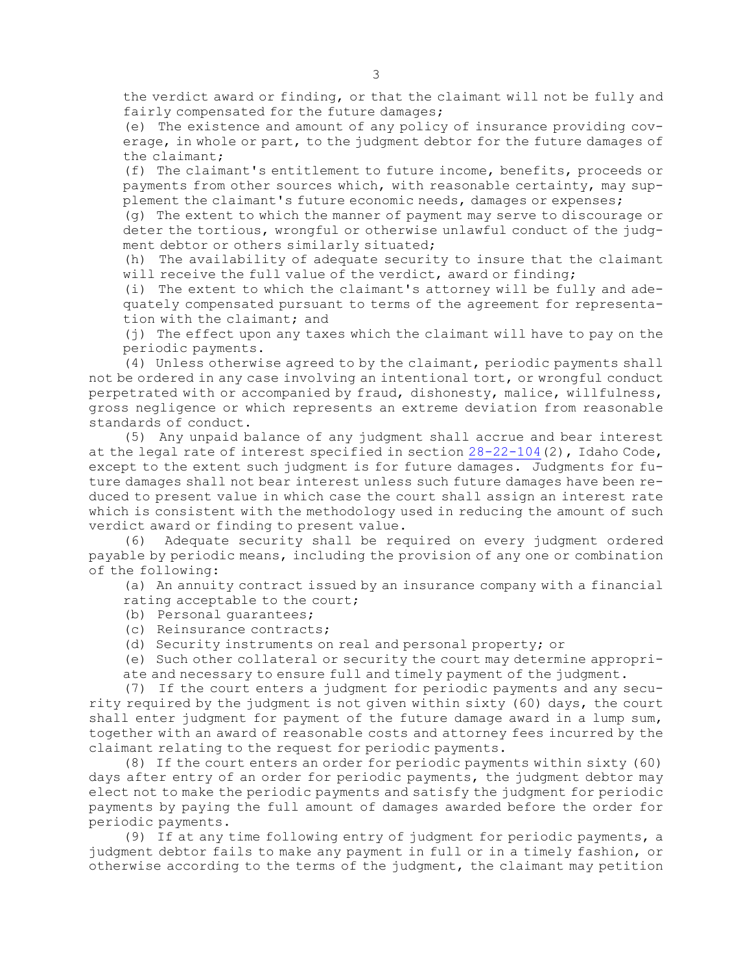the verdict award or finding, or that the claimant will not be fully and fairly compensated for the future damages;

(e) The existence and amount of any policy of insurance providing coverage, in whole or part, to the judgment debtor for the future damages of the claimant;

(f) The claimant's entitlement to future income, benefits, proceeds or payments from other sources which, with reasonable certainty, may supplement the claimant's future economic needs, damages or expenses;

(g) The extent to which the manner of payment may serve to discourage or deter the tortious, wrongful or otherwise unlawful conduct of the judgment debtor or others similarly situated;

(h) The availability of adequate security to insure that the claimant will receive the full value of the verdict, award or finding;

(i) The extent to which the claimant's attorney will be fully and adequately compensated pursuant to terms of the agreement for representation with the claimant; and

(j) The effect upon any taxes which the claimant will have to pay on the periodic payments.

(4) Unless otherwise agreed to by the claimant, periodic payments shall not be ordered in any case involving an intentional tort, or wrongful conduct perpetrated with or accompanied by fraud, dishonesty, malice, willfulness, gross negligence or which represents an extreme deviation from reasonable standards of conduct.

(5) Any unpaid balance of any judgment shall accrue and bear interest at the legal rate of interest specified in section [28-22-104](https://legislature.idaho.gov/statutesrules/idstat/Title28/T28CH22/SECT28-22-104)(2), Idaho Code, except to the extent such judgment is for future damages. Judgments for future damages shall not bear interest unless such future damages have been reduced to present value in which case the court shall assign an interest rate which is consistent with the methodology used in reducing the amount of such verdict award or finding to present value.

(6) Adequate security shall be required on every judgment ordered payable by periodic means, including the provision of any one or combination of the following:

(a) An annuity contract issued by an insurance company with <sup>a</sup> financial rating acceptable to the court;

- (b) Personal guarantees;
- (c) Reinsurance contracts;
- (d) Security instruments on real and personal property; or

(e) Such other collateral or security the court may determine appropriate and necessary to ensure full and timely payment of the judgment.

(7) If the court enters <sup>a</sup> judgment for periodic payments and any security required by the judgment is not given within sixty (60) days, the court shall enter judgment for payment of the future damage award in a lump sum, together with an award of reasonable costs and attorney fees incurred by the claimant relating to the request for periodic payments.

(8) If the court enters an order for periodic payments within sixty (60) days after entry of an order for periodic payments, the judgment debtor may elect not to make the periodic payments and satisfy the judgment for periodic payments by paying the full amount of damages awarded before the order for periodic payments.

(9) If at any time following entry of judgment for periodic payments, <sup>a</sup> judgment debtor fails to make any payment in full or in <sup>a</sup> timely fashion, or otherwise according to the terms of the judgment, the claimant may petition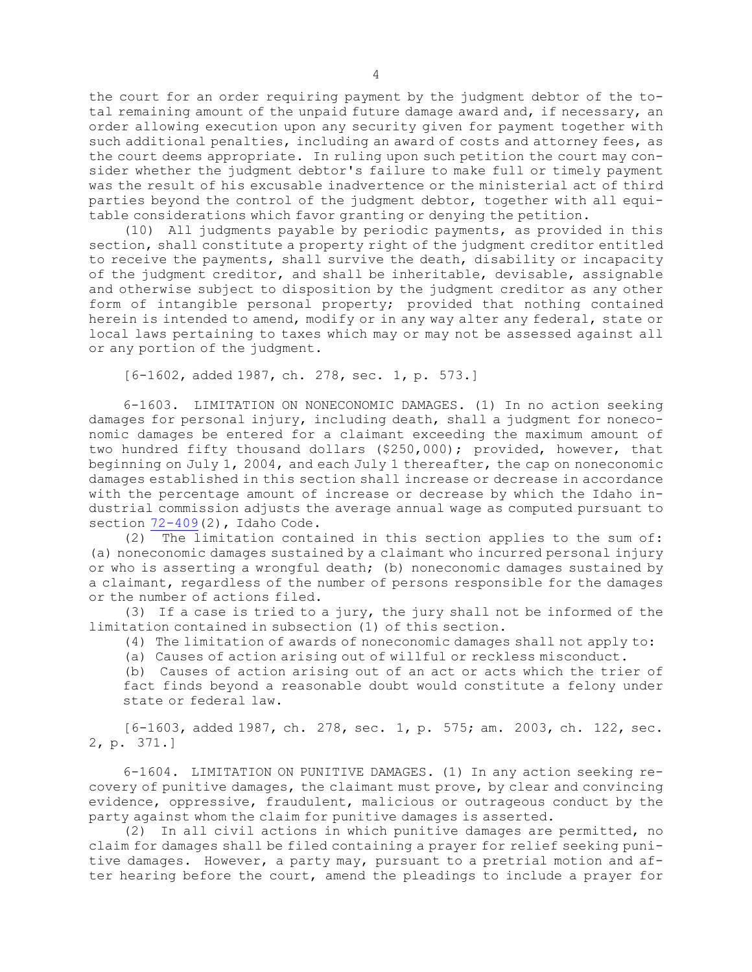the court for an order requiring payment by the judgment debtor of the total remaining amount of the unpaid future damage award and, if necessary, an order allowing execution upon any security given for payment together with such additional penalties, including an award of costs and attorney fees, as the court deems appropriate. In ruling upon such petition the court may consider whether the judgment debtor's failure to make full or timely payment was the result of his excusable inadvertence or the ministerial act of third parties beyond the control of the judgment debtor, together with all equitable considerations which favor granting or denying the petition.

(10) All judgments payable by periodic payments, as provided in this section, shall constitute <sup>a</sup> property right of the judgment creditor entitled to receive the payments, shall survive the death, disability or incapacity of the judgment creditor, and shall be inheritable, devisable, assignable and otherwise subject to disposition by the judgment creditor as any other form of intangible personal property; provided that nothing contained herein is intended to amend, modify or in any way alter any federal, state or local laws pertaining to taxes which may or may not be assessed against all or any portion of the judgment.

[6-1602, added 1987, ch. 278, sec. 1, p. 573.]

6-1603. LIMITATION ON NONECONOMIC DAMAGES. (1) In no action seeking damages for personal injury, including death, shall <sup>a</sup> judgment for noneconomic damages be entered for <sup>a</sup> claimant exceeding the maximum amount of two hundred fifty thousand dollars (\$250,000); provided, however, that beginning on July 1, 2004, and each July 1 thereafter, the cap on noneconomic damages established in this section shall increase or decrease in accordance with the percentage amount of increase or decrease by which the Idaho industrial commission adjusts the average annual wage as computed pursuant to section [72-409](https://legislature.idaho.gov/statutesrules/idstat/Title72/T72CH4/SECT72-409)(2), Idaho Code.

(2) The limitation contained in this section applies to the sum of: (a) noneconomic damages sustained by <sup>a</sup> claimant who incurred personal injury or who is asserting <sup>a</sup> wrongful death; (b) noneconomic damages sustained by <sup>a</sup> claimant, regardless of the number of persons responsible for the damages or the number of actions filed.

(3) If <sup>a</sup> case is tried to <sup>a</sup> jury, the jury shall not be informed of the limitation contained in subsection (1) of this section.

(4) The limitation of awards of noneconomic damages shall not apply to:

(a) Causes of action arising out of willful or reckless misconduct.

(b) Causes of action arising out of an act or acts which the trier of fact finds beyond <sup>a</sup> reasonable doubt would constitute <sup>a</sup> felony under state or federal law.

[6-1603, added 1987, ch. 278, sec. 1, p. 575; am. 2003, ch. 122, sec. 2, p. 371.]

6-1604. LIMITATION ON PUNITIVE DAMAGES. (1) In any action seeking recovery of punitive damages, the claimant must prove, by clear and convincing evidence, oppressive, fraudulent, malicious or outrageous conduct by the party against whom the claim for punitive damages is asserted.

(2) In all civil actions in which punitive damages are permitted, no claim for damages shall be filed containing <sup>a</sup> prayer for relief seeking punitive damages. However, <sup>a</sup> party may, pursuant to <sup>a</sup> pretrial motion and after hearing before the court, amend the pleadings to include <sup>a</sup> prayer for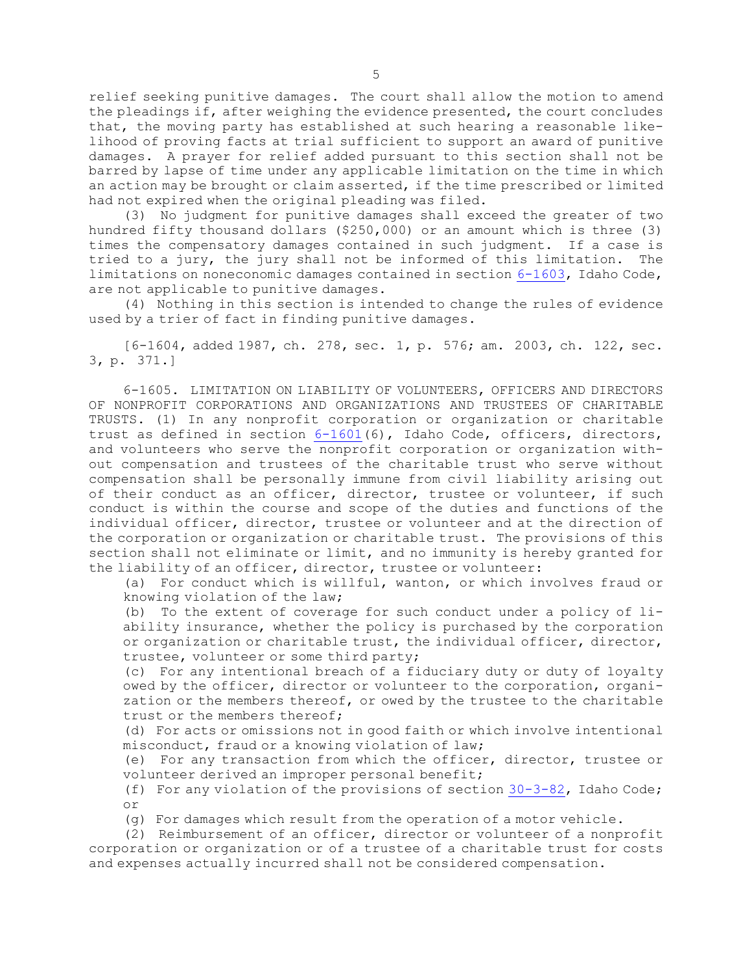relief seeking punitive damages. The court shall allow the motion to amend the pleadings if, after weighing the evidence presented, the court concludes that, the moving party has established at such hearing <sup>a</sup> reasonable likelihood of proving facts at trial sufficient to support an award of punitive damages. <sup>A</sup> prayer for relief added pursuant to this section shall not be barred by lapse of time under any applicable limitation on the time in which an action may be brought or claim asserted, if the time prescribed or limited had not expired when the original pleading was filed.

(3) No judgment for punitive damages shall exceed the greater of two hundred fifty thousand dollars (\$250,000) or an amount which is three (3) times the compensatory damages contained in such judgment. If <sup>a</sup> case is tried to <sup>a</sup> jury, the jury shall not be informed of this limitation. The limitations on noneconomic damages contained in section [6-1603](https://legislature.idaho.gov/statutesrules/idstat/Title6/T6CH16/SECT6-1603), Idaho Code, are not applicable to punitive damages.

(4) Nothing in this section is intended to change the rules of evidence used by <sup>a</sup> trier of fact in finding punitive damages.

[6-1604, added 1987, ch. 278, sec. 1, p. 576; am. 2003, ch. 122, sec. 3, p. 371.]

6-1605. LIMITATION ON LIABILITY OF VOLUNTEERS, OFFICERS AND DIRECTORS OF NONPROFIT CORPORATIONS AND ORGANIZATIONS AND TRUSTEES OF CHARITABLE TRUSTS. (1) In any nonprofit corporation or organization or charitable trust as defined in section [6-1601](https://legislature.idaho.gov/statutesrules/idstat/Title6/T6CH16/SECT6-1601)(6), Idaho Code, officers, directors, and volunteers who serve the nonprofit corporation or organization without compensation and trustees of the charitable trust who serve without compensation shall be personally immune from civil liability arising out of their conduct as an officer, director, trustee or volunteer, if such conduct is within the course and scope of the duties and functions of the individual officer, director, trustee or volunteer and at the direction of the corporation or organization or charitable trust. The provisions of this section shall not eliminate or limit, and no immunity is hereby granted for the liability of an officer, director, trustee or volunteer:

(a) For conduct which is willful, wanton, or which involves fraud or knowing violation of the law;

(b) To the extent of coverage for such conduct under <sup>a</sup> policy of liability insurance, whether the policy is purchased by the corporation or organization or charitable trust, the individual officer, director, trustee, volunteer or some third party;

(c) For any intentional breach of <sup>a</sup> fiduciary duty or duty of loyalty owed by the officer, director or volunteer to the corporation, organization or the members thereof, or owed by the trustee to the charitable trust or the members thereof;

(d) For acts or omissions not in good faith or which involve intentional misconduct, fraud or <sup>a</sup> knowing violation of law;

(e) For any transaction from which the officer, director, trustee or volunteer derived an improper personal benefit;

(f) For any violation of the provisions of section [30-3-82](https://legislature.idaho.gov/statutesrules/idstat/Title30/T30CH3/SECT30-3-82), Idaho Code; or

(g) For damages which result from the operation of <sup>a</sup> motor vehicle.

(2) Reimbursement of an officer, director or volunteer of <sup>a</sup> nonprofit corporation or organization or of <sup>a</sup> trustee of <sup>a</sup> charitable trust for costs and expenses actually incurred shall not be considered compensation.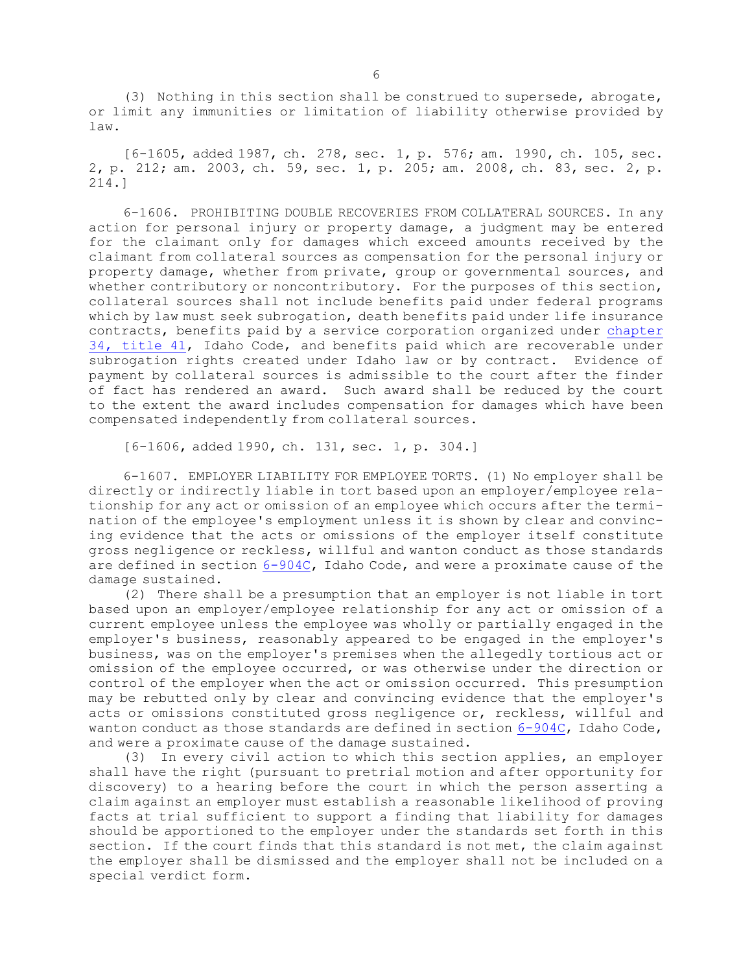(3) Nothing in this section shall be construed to supersede, abrogate, or limit any immunities or limitation of liability otherwise provided by law.

[6-1605, added 1987, ch. 278, sec. 1, p. 576; am. 1990, ch. 105, sec. 2, p. 212; am. 2003, ch. 59, sec. 1, p. 205; am. 2008, ch. 83, sec. 2, p. 214.]

6-1606. PROHIBITING DOUBLE RECOVERIES FROM COLLATERAL SOURCES. In any action for personal injury or property damage, <sup>a</sup> judgment may be entered for the claimant only for damages which exceed amounts received by the claimant from collateral sources as compensation for the personal injury or property damage, whether from private, group or governmental sources, and whether contributory or noncontributory. For the purposes of this section, collateral sources shall not include benefits paid under federal programs which by law must seek subrogation, death benefits paid under life insurance contracts, benefits paid by <sup>a</sup> service corporation organized under [chapter](https://legislature.idaho.gov/statutesrules/idstat/Title41/T41CH34) 34, [title](https://legislature.idaho.gov/statutesrules/idstat/Title41/T41CH34) 41, Idaho Code, and benefits paid which are recoverable under subrogation rights created under Idaho law or by contract. Evidence of payment by collateral sources is admissible to the court after the finder of fact has rendered an award. Such award shall be reduced by the court to the extent the award includes compensation for damages which have been compensated independently from collateral sources.

[6-1606, added 1990, ch. 131, sec. 1, p. 304.]

6-1607. EMPLOYER LIABILITY FOR EMPLOYEE TORTS. (1) No employer shall be directly or indirectly liable in tort based upon an employer/employee relationship for any act or omission of an employee which occurs after the termination of the employee's employment unless it is shown by clear and convincing evidence that the acts or omissions of the employer itself constitute gross negligence or reckless, willful and wanton conduct as those standards are defined in section [6-904C](https://legislature.idaho.gov/statutesrules/idstat/Title6/T6CH9/SECT6-904C), Idaho Code, and were <sup>a</sup> proximate cause of the damage sustained.

(2) There shall be <sup>a</sup> presumption that an employer is not liable in tort based upon an employer/employee relationship for any act or omission of <sup>a</sup> current employee unless the employee was wholly or partially engaged in the employer's business, reasonably appeared to be engaged in the employer's business, was on the employer's premises when the allegedly tortious act or omission of the employee occurred, or was otherwise under the direction or control of the employer when the act or omission occurred. This presumption may be rebutted only by clear and convincing evidence that the employer's acts or omissions constituted gross negligence or, reckless, willful and wanton conduct as those standards are defined in section  $6-904C$ , Idaho Code, and were <sup>a</sup> proximate cause of the damage sustained.

(3) In every civil action to which this section applies, an employer shall have the right (pursuant to pretrial motion and after opportunity for discovery) to <sup>a</sup> hearing before the court in which the person asserting <sup>a</sup> claim against an employer must establish <sup>a</sup> reasonable likelihood of proving facts at trial sufficient to support <sup>a</sup> finding that liability for damages should be apportioned to the employer under the standards set forth in this section. If the court finds that this standard is not met, the claim against the employer shall be dismissed and the employer shall not be included on <sup>a</sup> special verdict form.